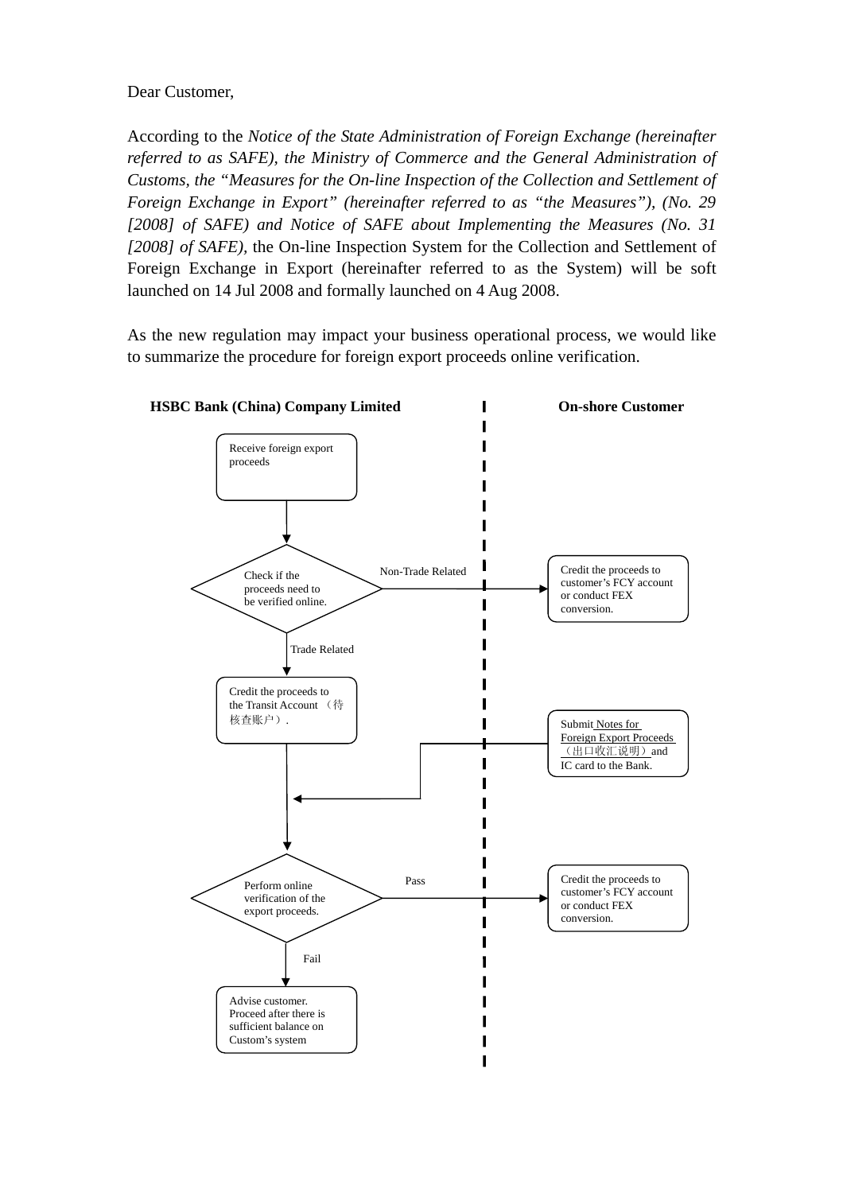## Dear Customer,

According to the *Notice of the State Administration of Foreign Exchange (hereinafter referred to as SAFE), the Ministry of Commerce and the General Administration of Customs, the "Measures for the On-line Inspection of the Collection and Settlement of Foreign Exchange in Export" (hereinafter referred to as "the Measures"), (No. 29 [2008] of SAFE) and Notice of SAFE about Implementing the Measures (No. 31 [2008] of SAFE),* the On-line Inspection System for the Collection and Settlement of Foreign Exchange in Export (hereinafter referred to as the System) will be soft launched on 14 Jul 2008 and formally launched on 4 Aug 2008.

As the new regulation may impact your business operational process, we would like to summarize the procedure for foreign export proceeds online verification.